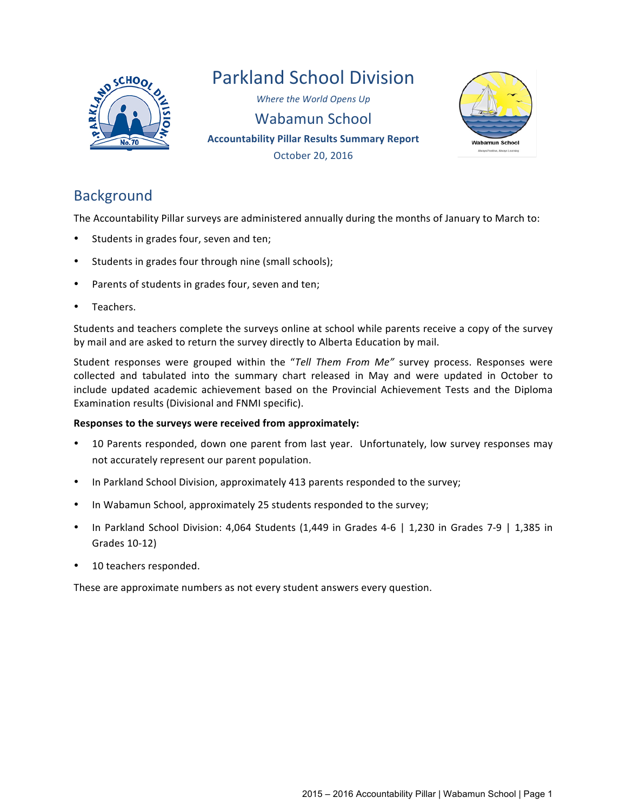

# Parkland School Division

**Where the World Opens Up** Wabamun School **Accountability Pillar Results Summary Report** October 20, 2016



# **Background**

The Accountability Pillar surveys are administered annually during the months of January to March to:

- Students in grades four, seven and ten;
- Students in grades four through nine (small schools);
- Parents of students in grades four, seven and ten;
- Teachers.

Students and teachers complete the surveys online at school while parents receive a copy of the survey by mail and are asked to return the survey directly to Alberta Education by mail.

Student responses were grouped within the "Tell Them From Me" survey process. Responses were collected and tabulated into the summary chart released in May and were updated in October to include updated academic achievement based on the Provincial Achievement Tests and the Diploma Examination results (Divisional and FNMI specific).

## **Responses to the surveys were received from approximately:**

- 10 Parents responded, down one parent from last year. Unfortunately, low survey responses may not accurately represent our parent population.
- In Parkland School Division, approximately 413 parents responded to the survey;
- In Wabamun School, approximately 25 students responded to the survey;
- In Parkland School Division: 4,064 Students (1,449 in Grades 4-6 | 1,230 in Grades 7-9 | 1,385 in Grades 10-12)
- 10 teachers responded.

These are approximate numbers as not every student answers every question.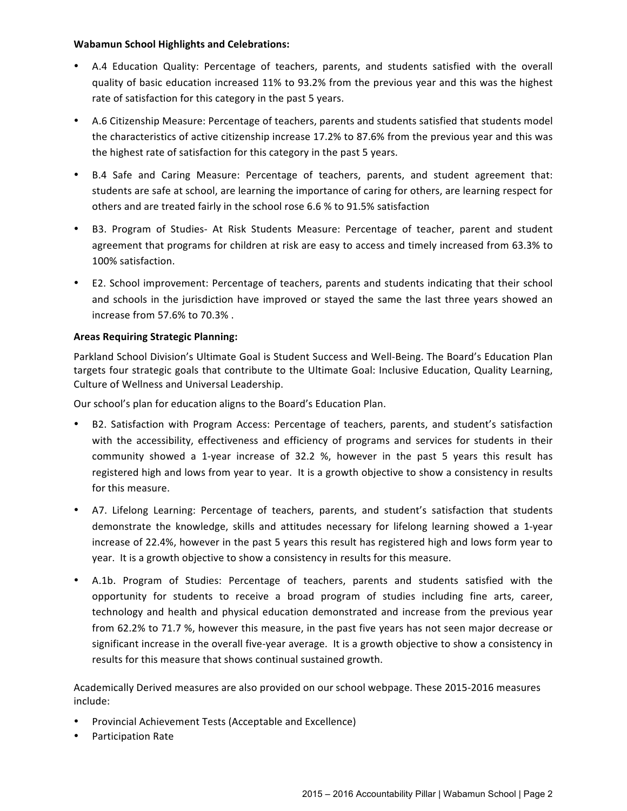#### **Wabamun School Highlights and Celebrations:**

- A.4 Education Quality: Percentage of teachers, parents, and students satisfied with the overall quality of basic education increased 11% to 93.2% from the previous year and this was the highest rate of satisfaction for this category in the past 5 years.
- A.6 Citizenship Measure: Percentage of teachers, parents and students satisfied that students model the characteristics of active citizenship increase 17.2% to 87.6% from the previous year and this was the highest rate of satisfaction for this category in the past 5 years.
- B.4 Safe and Caring Measure: Percentage of teachers, parents, and student agreement that: students are safe at school, are learning the importance of caring for others, are learning respect for others and are treated fairly in the school rose 6.6 % to 91.5% satisfaction
- B3. Program of Studies- At Risk Students Measure: Percentage of teacher, parent and student agreement that programs for children at risk are easy to access and timely increased from 63.3% to 100% satisfaction.
- E2. School improvement: Percentage of teachers, parents and students indicating that their school and schools in the jurisdiction have improved or stayed the same the last three years showed an increase from 57.6% to 70.3%.

## **Areas Requiring Strategic Planning:**

Parkland School Division's Ultimate Goal is Student Success and Well-Being. The Board's Education Plan targets four strategic goals that contribute to the Ultimate Goal: Inclusive Education, Quality Learning, Culture of Wellness and Universal Leadership.

Our school's plan for education aligns to the Board's Education Plan.

- B2. Satisfaction with Program Access: Percentage of teachers, parents, and student's satisfaction with the accessibility, effectiveness and efficiency of programs and services for students in their community showed a 1-year increase of 32.2 %, however in the past 5 years this result has registered high and lows from year to year. It is a growth objective to show a consistency in results for this measure.
- A7. Lifelong Learning: Percentage of teachers, parents, and student's satisfaction that students demonstrate the knowledge, skills and attitudes necessary for lifelong learning showed a 1-year increase of 22.4%, however in the past 5 years this result has registered high and lows form year to year. It is a growth objective to show a consistency in results for this measure.
- A.1b. Program of Studies: Percentage of teachers, parents and students satisfied with the opportunity for students to receive a broad program of studies including fine arts, career, technology and health and physical education demonstrated and increase from the previous year from 62.2% to 71.7 %, however this measure, in the past five years has not seen major decrease or significant increase in the overall five-year average. It is a growth objective to show a consistency in results for this measure that shows continual sustained growth.

Academically Derived measures are also provided on our school webpage. These 2015-2016 measures include:

- Provincial Achievement Tests (Acceptable and Excellence)
- Participation Rate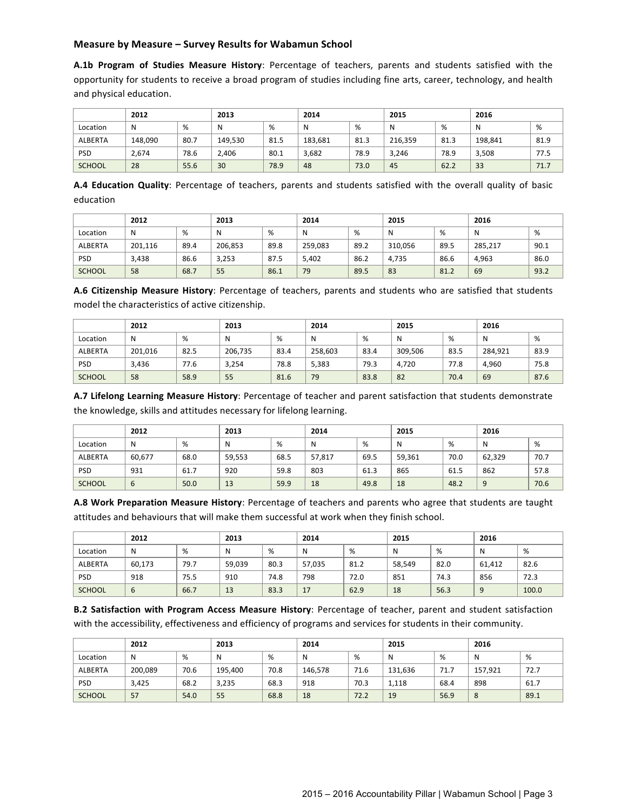#### **Measure by Measure - Survey Results for Wabamun School**

**A.1b Program of Studies Measure History**: Percentage of teachers, parents and students satisfied with the opportunity for students to receive a broad program of studies including fine arts, career, technology, and health and physical education.

|               | 2012    |      | 2013    |      | 2014    |      | 2015    |      | 2016    |      |
|---------------|---------|------|---------|------|---------|------|---------|------|---------|------|
| Location      | N       | %    | N       | %    |         | %    | N       | %    | N       | %    |
| ALBERTA       | 148.090 | 80.7 | 149,530 | 81.5 | 183,681 | 81.3 | 216,359 | 81.3 | 198.841 | 81.9 |
| <b>PSD</b>    | 2.674   | 78.6 | 2.406   | 80.1 | 3,682   | 78.9 | 3,246   | 78.9 | 3,508   | 77.5 |
| <b>SCHOOL</b> | 28      | 55.6 | 30      | 78.9 | 48      | 73.0 | 45      | 62.2 | 33      | 71.7 |

A.4 Education Quality: Percentage of teachers, parents and students satisfied with the overall quality of basic education

|               | 2012    |      | 2013    |      | 2014    |      | 2015    |      | 2016    |      |
|---------------|---------|------|---------|------|---------|------|---------|------|---------|------|
| Location      | N       | %    | N       | %    | N       | %    | N       | %    | N       | %    |
| ALBERTA       | 201.116 | 89.4 | 206,853 | 89.8 | 259.083 | 89.2 | 310,056 | 89.5 | 285,217 | 90.1 |
| <b>PSD</b>    | 3,438   | 86.6 | 3,253   | 87.5 | 5,402   | 86.2 | 4.735   | 86.6 | 4.963   | 86.0 |
| <b>SCHOOL</b> | 58      | 68.7 | 55      | 86.1 | 79      | 89.5 | 83      | 81.2 | 69      | 93.2 |

A.6 Citizenship Measure History: Percentage of teachers, parents and students who are satisfied that students model the characteristics of active citizenship.

|               | 2012    |      | 2013    |      | 2014    |      | 2015    |      | 2016    |      |
|---------------|---------|------|---------|------|---------|------|---------|------|---------|------|
| Location      | N       | %    | N       | %    | N       | %    | N       | %    |         | %    |
| ALBERTA       | 201.016 | 82.5 | 206.735 | 83.4 | 258.603 | 83.4 | 309.506 | 83.5 | 284.921 | 83.9 |
| <b>PSD</b>    | 3.436   | 77.6 | 3,254   | 78.8 | 5,383   | 79.3 | 4.720   | 77.8 | 4.960   | 75.8 |
| <b>SCHOOL</b> | 58      | 58.9 | 55      | 81.6 | 79      | 83.8 | 82      | 70.4 | 69      | 87.6 |

A.7 Lifelong Learning Measure History: Percentage of teacher and parent satisfaction that students demonstrate the knowledge, skills and attitudes necessary for lifelong learning.

|               | 2012        |      | 2013   |      | 2014   |      | 2015   |      | 2016   |      |
|---------------|-------------|------|--------|------|--------|------|--------|------|--------|------|
| Location      | N           | %    | N      | %    | N      | %    | N      | %    | Ν      | %    |
| ALBERTA       | 60,677      | 68.0 | 59,553 | 68.5 | 57,817 | 69.5 | 59,361 | 70.0 | 62,329 | 70.7 |
| <b>PSD</b>    | 931         | 61.7 | 920    | 59.8 | 803    | 61.3 | 865    | 61.5 | 862    | 57.8 |
| <b>SCHOOL</b> | $\mathbf b$ | 50.0 | 13     | 59.9 | 18     | 49.8 | 18     | 48.2 | q      | 70.6 |

A.8 Work Preparation Measure History: Percentage of teachers and parents who agree that students are taught attitudes and behaviours that will make them successful at work when they finish school.

|            | 2012   |      |        | 2013 |        | 2014 |        | 2015 |        |       |
|------------|--------|------|--------|------|--------|------|--------|------|--------|-------|
| Location   | N      | %    |        | %    | N      | %    |        | %    | N      | %     |
| ALBERTA    | 60,173 | 79.7 | 59,039 | 80.3 | 57,035 | 81.2 | 58,549 | 82.0 | 61.412 | 82.6  |
| <b>PSD</b> | 918    | 75.5 | 910    | 74.8 | 798    | 72.0 | 851    | 74.3 | 856    | 72.3  |
| SCHOOL     | b      | 66.7 | 13     | 83.3 | 17     | 62.9 | 18     | 56.3 | 9      | 100.0 |

**B.2 Satisfaction with Program Access Measure History**: Percentage of teacher, parent and student satisfaction with the accessibility, effectiveness and efficiency of programs and services for students in their community.

|               | 2012    |      | 2013    |      | 2014    |      | 2015    |      | 2016    |      |
|---------------|---------|------|---------|------|---------|------|---------|------|---------|------|
| Location      | N       | %    | N       | %    | N       | %    | N       | %    | N       | %    |
| ALBERTA       | 200,089 | 70.6 | 195,400 | 70.8 | 146.578 | 71.6 | 131,636 | 71.7 | 157,921 | 72.7 |
| <b>PSD</b>    | 3.425   | 68.2 | 3,235   | 68.3 | 918     | 70.3 | 1,118   | 68.4 | 898     | 61.7 |
| <b>SCHOOL</b> | 57      | 54.0 | 55      | 68.8 | 18      | 72.2 | 19      | 56.9 | 8       | 89.1 |